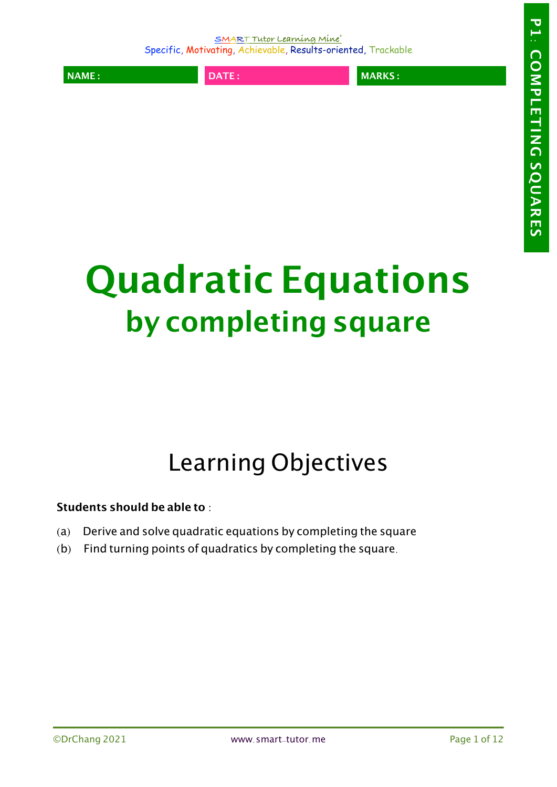**NAME : DATE : MARKS :**

# **Quadratic Equations by completing square**

# Learning Objectives

**Students should be able to** :

- (a) Derive and solve quadratic equations by completing the square
- $(b)$  Find turning points of quadratics by completing the square.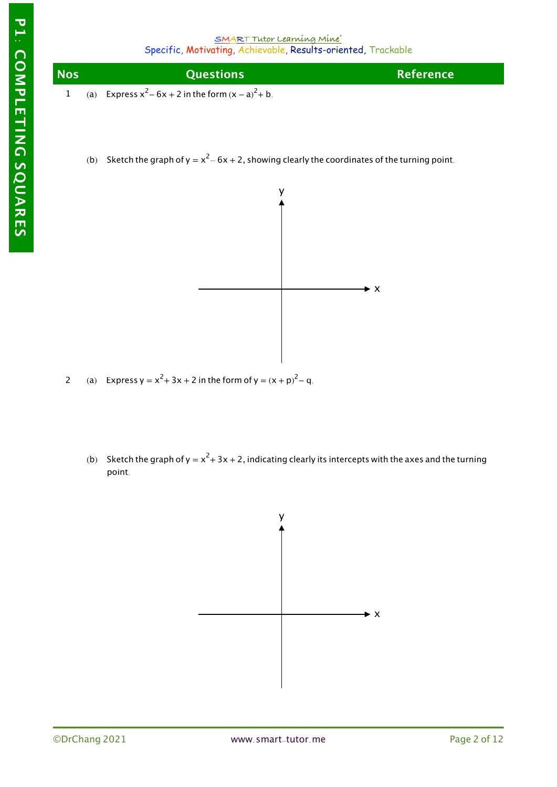

(b) Sketch the graph of y =  $x^2$  – 6x + 2, showing clearly the coordinates of the turning point.



- 2 (a) Express  $y = x^2 + 3x + 2$  in the form of  $y = (x + p)^2 - q$ .
	- (b) Sketch the graph of y =  $x^2$  + 3x + 2, indicating clearly its intercepts with the axes and the turning point.

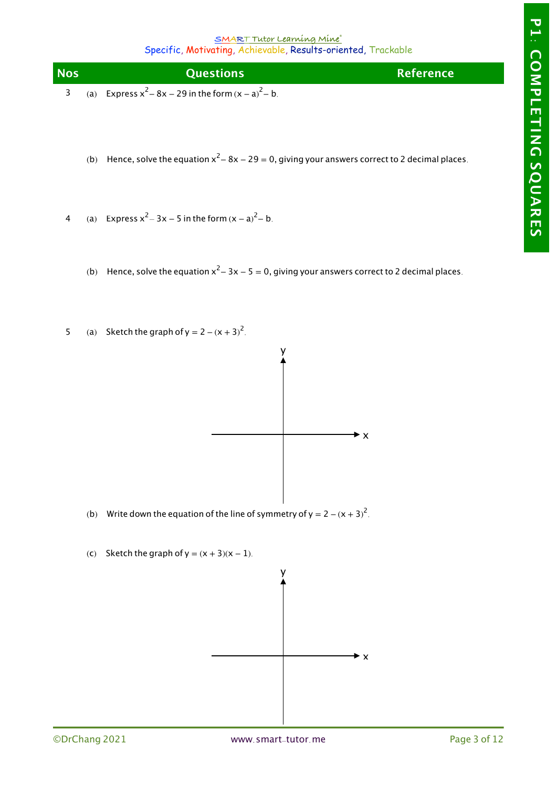| <b>Nos</b> | <b>Ouestions</b>                                          | <b>Reference</b> |
|------------|-----------------------------------------------------------|------------------|
|            | (a) Express $x^2 - 8x - 29$ in the form $(x - a)^2 - b$ . |                  |

- (b) Hence, solve the equation  $x^2 8x 29 = 0$ , giving your answers correct to 2 decimal places.
- 4 (a) Express  $x^2 - 3x - 5$  in the form  $(x - a)^2 - b$ .
	- (b) Hence, solve the equation  $x^2 3x 5 = 0$ , giving your answers correct to 2 decimal places.
- 5 (a) Sketch the graph of  $y = 2 (x + 3)^2$ .



- (b) Write down the equation of the line of symmetry of y = 2  $(x + 3)^2$ .
- (c) Sketch the graph of  $y = (x + 3)(x 1)$ .

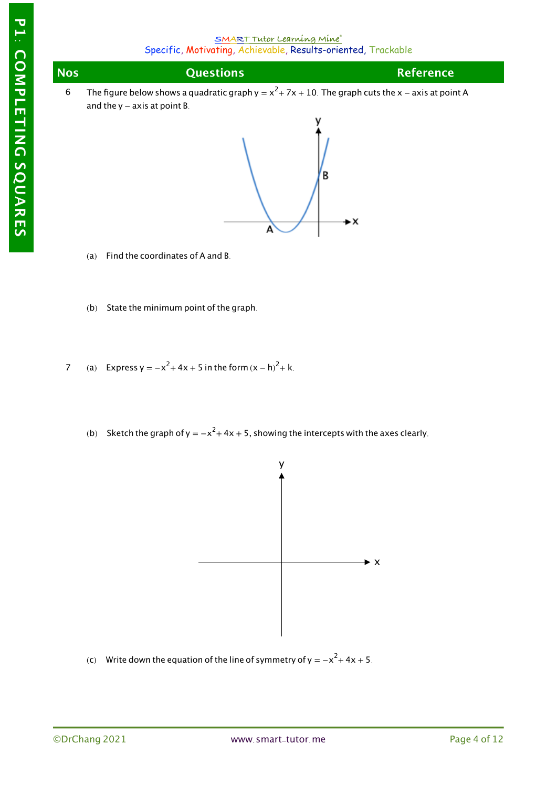| <b>Nos</b> | <b>Questions</b>                                                                                      | <b>Reference</b> |  |  |
|------------|-------------------------------------------------------------------------------------------------------|------------------|--|--|
|            | The figure below shows a quadratic graph $y = x^2 + 7x + 10$ . The graph cuts the x – axis at point A |                  |  |  |
|            | and the $y - axis$ at point B.                                                                        |                  |  |  |



- (a) Find the coordinates of A and B.
- (b) State the minimum point of the graph.
- 7 (a) Express y =  $-x^2 + 4x + 5$  in the form  $(x h)^2 + k$ .
	- (b) Sketch the graph of y =  $-x^2$  + 4x + 5, showing the intercepts with the axes clearly.



(c) Write down the equation of the line of symmetry of y =  $-x^2 + 4x + 5$ .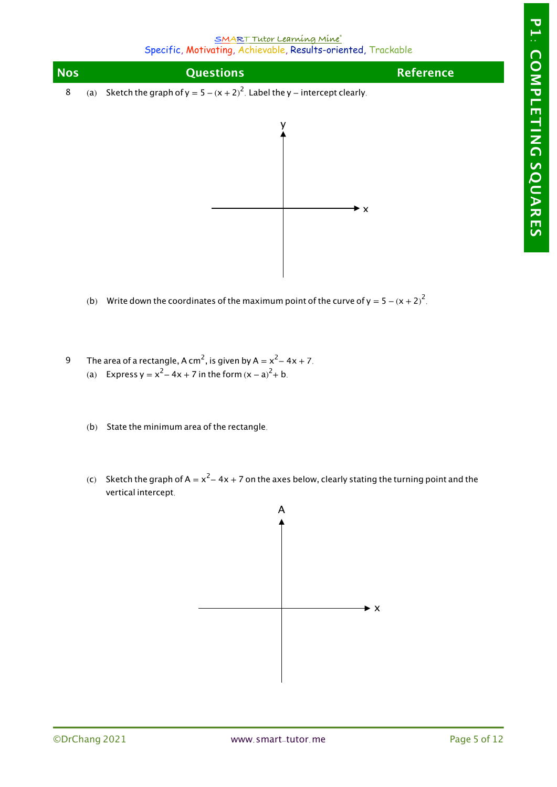| <b>Nos</b> | <b>Questions</b>                                                               | <b>Reference</b> |
|------------|--------------------------------------------------------------------------------|------------------|
|            | (a) Sketch the graph of $y = 5 - (x + 2)^2$ . Label the y – intercept clearly. |                  |



- (b) Write down the coordinates of the maximum point of the curve of  $y = 5 (x + 2)^2$ .
- 9 The area of a rectangle, A cm<sup>2</sup>, is given by A =  $x^2 4x + 7$ . (a) Express y =  $x^2 - 4x + 7$  in the form  $(x - a)^2 + b$ .
	- (b) State the minimum area of the rectangle.
	- (c) Sketch the graph of A =  $x^2 4x + 7$  on the axes below, clearly stating the turning point and the vertical intercept.

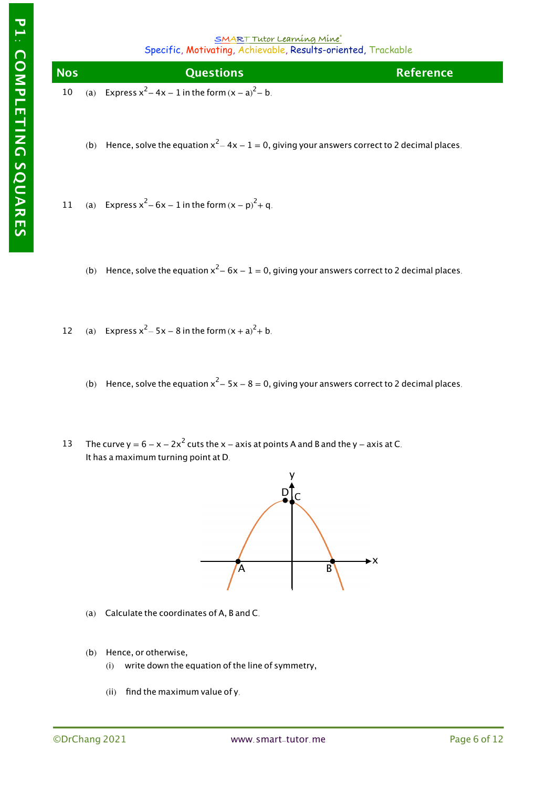

- (b) Hence, solve the equation  $x^2 4x 1 = 0$ , giving your answers correct to 2 decimal places.
- 11 (a) Express  $x^2 - 6x - 1$  in the form  $(x - p)^2 + q$ .
	- (b) Hence, solve the equation  $x^2 6x 1 = 0$ , giving your answers correct to 2 decimal places.
- 12 (a) Express  $x^2 - 5x - 8$  in the form  $(x + a)^2 + b$ .
	- (b) Hence, solve the equation  $x^2 5x 8 = 0$ , giving your answers correct to 2 decimal places.
- 13 The curve y =  $6 - x - 2x^2$  cuts the x – axis at points A and B and the y – axis at C. It has a maximum turning point at D.



- (a) Calculate the coordinates of A, B and C.
- (b) Hence, or otherwise,
	- $(i)$  write down the equation of the line of symmetry,
	- (ii) find the maximum value of y.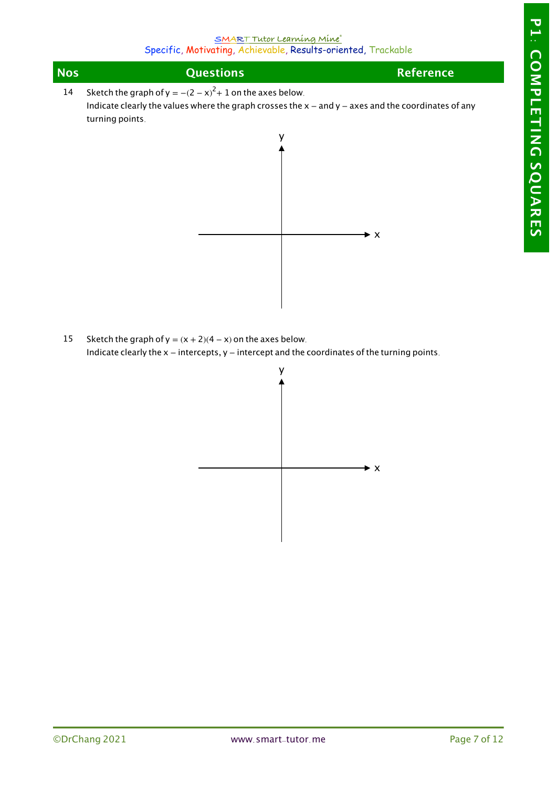| <b>Nos</b> | <b>Questions</b>                                                                                        | <b>Reference</b> |
|------------|---------------------------------------------------------------------------------------------------------|------------------|
| 14         | Sketch the graph of $y = -(2 - x)^2 + 1$ on the axes below.                                             |                  |
|            | Indicate clearly the values where the graph crosses the $x -$ and $y -$ axes and the coordinates of any |                  |
|            | turning points.                                                                                         |                  |



15 Sketch the graph of  $y = (x + 2)(4 - x)$  on the axes below. Indicate clearly the x − intercepts, y − intercept and the coordinates of the turning points.

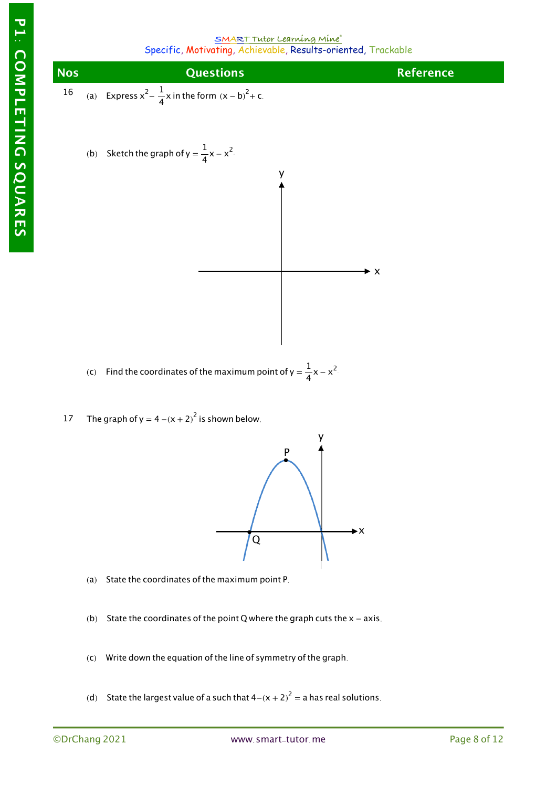

- (c) Find the coordinates of the maximum point of y =  $\frac{1}{4}x x^2$ .
- 17 The graph of  $y = 4 - (x + 2)^2$  is shown below.



- (a) State the coordinates of the maximum point P.
- (b) State the coordinates of the point Q where the graph cuts the  $x axis$ .
- $(c)$  Write down the equation of the line of symmetry of the graph.
- (d) State the largest value of a such that  $4-(x + 2)^2 =$  a has real solutions.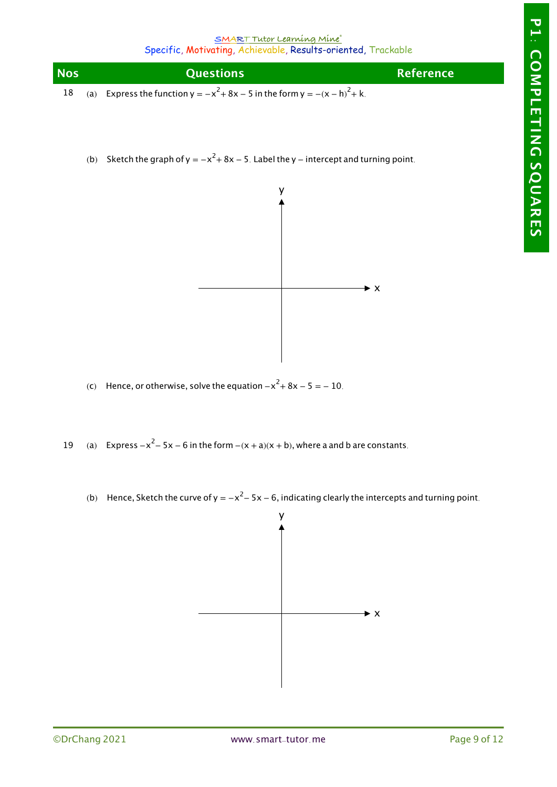| <b>Nos</b> | <b>Ouestions</b>                                                                   | <b>Reference</b> |
|------------|------------------------------------------------------------------------------------|------------------|
|            | 18 (a) Express the function $y = -x^2 + 8x - 5$ in the form $y = -(x - h)^2 + k$ . |                  |

(b) Sketch the graph of y =  $-x^2 + 8x - 5$ . Label the y – intercept and turning point.



- (c) Hence, or otherwise, solve the equation  $-x^2 + 8x 5 = -10$ .
- 19 (a) Express  $-x^2 - 5x - 6$  in the form  $-(x + a)(x + b)$ , where a and b are constants.
	- (b) Hence, Sketch the curve of y =  $-x^2$  5x 6, indicating clearly the intercepts and turning point.

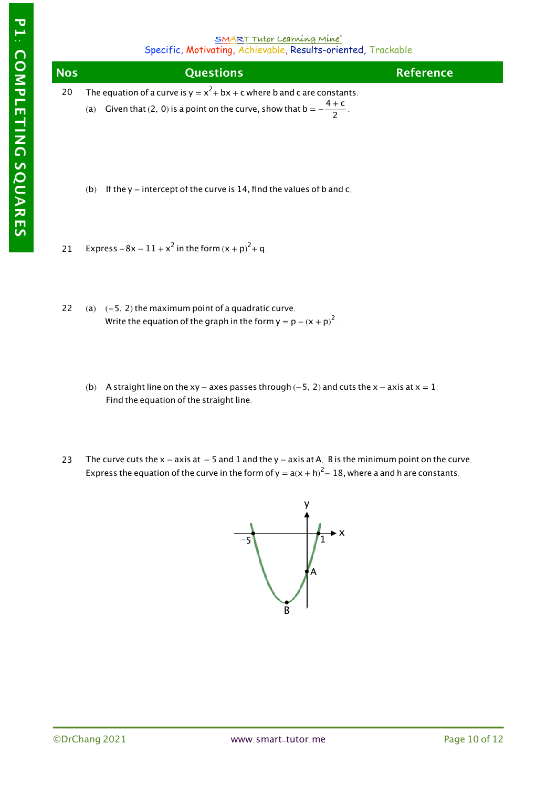| <b>Nos</b> | <b>Questions</b>                                                                                                                                              | <b>Reference</b> |
|------------|---------------------------------------------------------------------------------------------------------------------------------------------------------------|------------------|
| 20         | The equation of a curve is $y = x^2 + bx + c$ where b and c are constants.<br>(a) Given that (2, 0) is a point on the curve, show that $b = -\frac{4+c}{2}$ . |                  |

- (b) If the y  $-$  intercept of the curve is 14, find the values of b and c.
- 21 Express  $-8x - 11 + x^2$  in the form  $(x + p)^2 + q$ .
- 22 (a)  $(-5, 2)$  the maximum point of a quadratic curve. Write the equation of the graph in the form  $y = p - (x + p)^2$ .
	- (b) A straight line on the xy − axes passes through (−5, 2) and cuts the x − axis at  $x = 1$ . Find the equation of the straight line.
- 23 The curve cuts the  $x - a$ xis at  $- 5$  and 1 and the y  $- a$ xis at A. B is the minimum point on the curve. Express the equation of the curve in the form of y =  $a(x + h)^2 - 18$ , where a and h are constants.

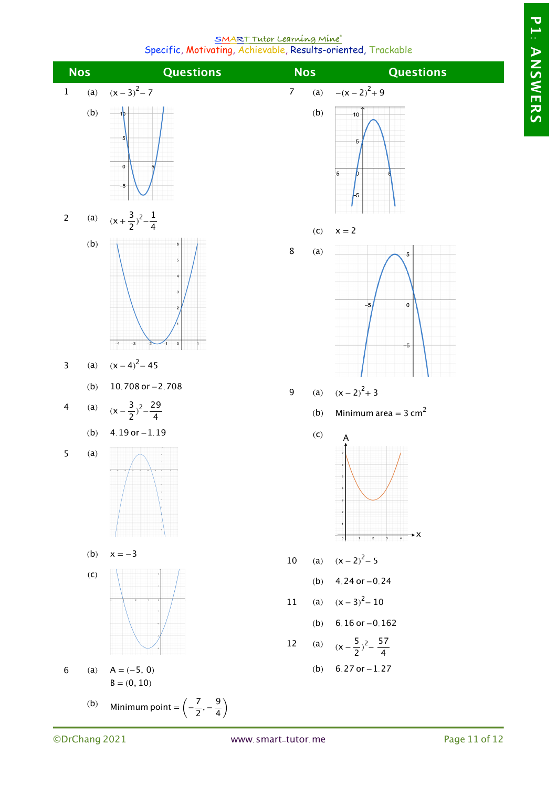**P1: ANSWERS**